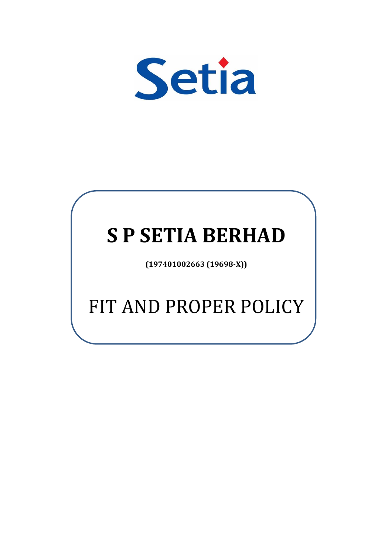

# **S P SETIA BERHAD**

**(197401002663 (19698-X))**

## FIT AND PROPER POLICY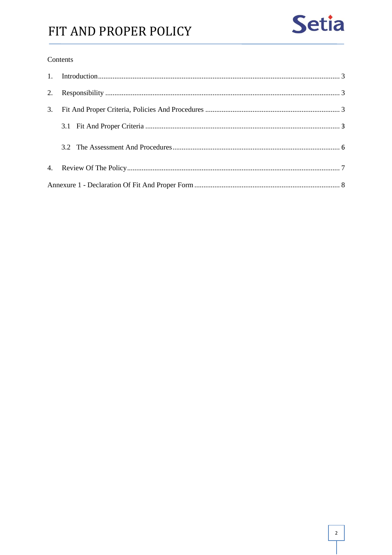### FIT AND PROPER POLICY

#### Contents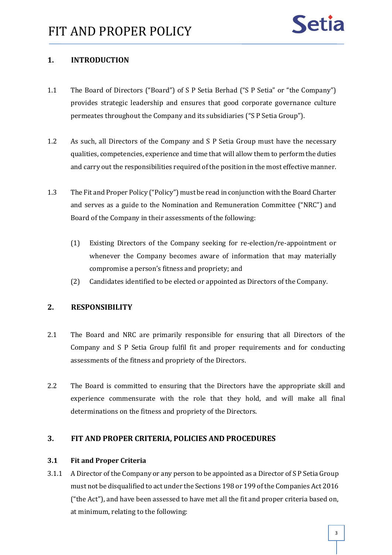#### <span id="page-2-0"></span>**1. INTRODUCTION**

- 1.1 The Board of Directors ("Board") of S P Setia Berhad ("S P Setia" or "the Company") provides strategic leadership and ensures that good corporate governance culture permeates throughout the Company and its subsidiaries ("S P Setia Group").
- 1.2 As such, all Directors of the Company and S P Setia Group must have the necessary qualities, competencies, experience and time that will allow them to perform the duties and carry out the responsibilities required of the position in the most effective manner.
- 1.3 The Fit and Proper Policy ("Policy") must be read in conjunction with the Board Charter and serves as a guide to the Nomination and Remuneration Committee ("NRC") and Board of the Company in their assessments of the following:
	- (1) Existing Directors of the Company seeking for re-election/re-appointment or whenever the Company becomes aware of information that may materially compromise a person's fitness and propriety; and
	- (2) Candidates identified to be elected or appointed as Directors of the Company.

#### <span id="page-2-1"></span>**2. RESPONSIBILITY**

- 2.1 The Board and NRC are primarily responsible for ensuring that all Directors of the Company and S P Setia Group fulfil fit and proper requirements and for conducting assessments of the fitness and propriety of the Directors.
- 2.2 The Board is committed to ensuring that the Directors have the appropriate skill and experience commensurate with the role that they hold, and will make all final determinations on the fitness and propriety of the Directors.

#### <span id="page-2-2"></span>**3. FIT AND PROPER CRITERIA, POLICIES AND PROCEDURES**

#### <span id="page-2-3"></span>**3.1 Fit and Proper Criteria**

3.1.1 A Director of the Company or any person to be appointed as a Director of S P Setia Group must not be disqualified to act under the Sections 198 or 199 of the Companies Act 2016 ("the Act"), and have been assessed to have met all the fit and proper criteria based on, at minimum, relating to the following: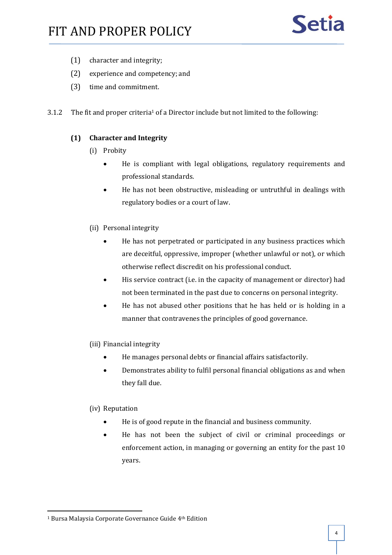- (1) character and integrity;
- (2) experience and competency; and
- (3) time and commitment.
- 3.1.2 The fit and proper criteria<sup>1</sup> of a Director include but not limited to the following:

#### **(1) Character and Integrity**

- (i) Probity
	- He is compliant with legal obligations, regulatory requirements and professional standards.
	- He has not been obstructive, misleading or untruthful in dealings with regulatory bodies or a court of law.
- (ii) Personal integrity
	- He has not perpetrated or participated in any business practices which are deceitful, oppressive, improper (whether unlawful or not), or which otherwise reflect discredit on his professional conduct.
	- His service contract (i.e. in the capacity of management or director) had not been terminated in the past due to concerns on personal integrity.
	- He has not abused other positions that he has held or is holding in a manner that contravenes the principles of good governance.
- (iii) Financial integrity
	- He manages personal debts or financial affairs satisfactorily.
	- Demonstrates ability to fulfil personal financial obligations as and when they fall due.

#### (iv) Reputation

- He is of good repute in the financial and business community.
- He has not been the subject of civil or criminal proceedings or enforcement action, in managing or governing an entity for the past 10 years.

<sup>&</sup>lt;sup>1</sup> Bursa Malaysia Corporate Governance Guide 4<sup>th</sup> Edition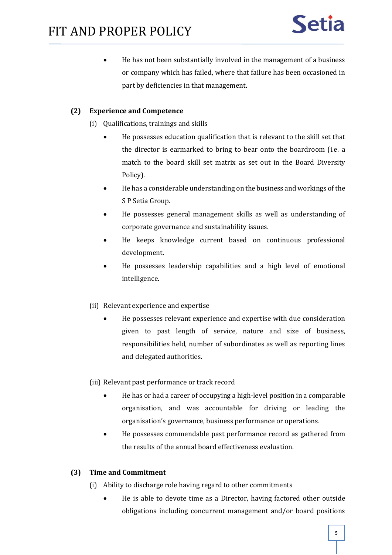• He has not been substantially involved in the management of a business or company which has failed, where that failure has been occasioned in part by deficiencies in that management.

#### **(2) Experience and Competence**

- (i) Qualifications, trainings and skills
	- He possesses education qualification that is relevant to the skill set that the director is earmarked to bring to bear onto the boardroom (i.e. a match to the board skill set matrix as set out in the Board Diversity Policy).
	- He has a considerable understanding on the business and workings of the S P Setia Group.
	- He possesses general management skills as well as understanding of corporate governance and sustainability issues.
	- He keeps knowledge current based on continuous professional development.
	- He possesses leadership capabilities and a high level of emotional intelligence.
- (ii) Relevant experience and expertise
	- He possesses relevant experience and expertise with due consideration given to past length of service, nature and size of business, responsibilities held, number of subordinates as well as reporting lines and delegated authorities.

(iii) Relevant past performance or track record

- He has or had a career of occupying a high-level position in a comparable organisation, and was accountable for driving or leading the organisation's governance, business performance or operations.
- He possesses commendable past performance record as gathered from the results of the annual board effectiveness evaluation.

#### **(3) Time and Commitment**

- (i) Ability to discharge role having regard to other commitments
	- He is able to devote time as a Director, having factored other outside obligations including concurrent management and/or board positions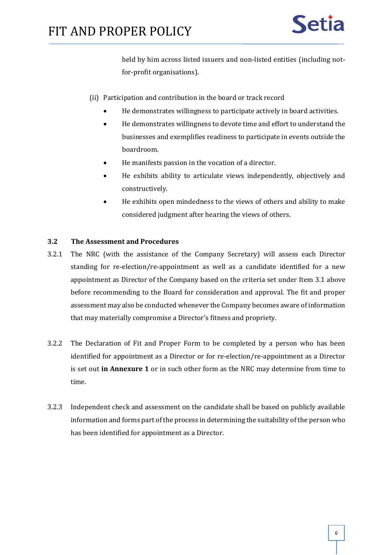held by him across listed issuers and non-listed entities (including notfor-profit organisations).

- (ii) Participation and contribution in the board or track record
	- He demonstrates willingness to participate actively in board activities.
	- He demonstrates willingness to devote time and effort to understand the businesses and exemplifies readiness to participate in events outside the boardroom.
	- He manifests passion in the vocation of a director.
	- He exhibits ability to articulate views independently, objectively and constructively.
	- He exhibits open mindedness to the views of others and ability to make considered judgment after hearing the views of others.

#### <span id="page-5-0"></span>**3.2 The Assessment and Procedures**

- 3.2.1 The NRC (with the assistance of the Company Secretary) will assess each Director standing for re-election/re-appointment as well as a candidate identified for a new appointment as Director of the Company based on the criteria set under Item 3.1 above before recommending to the Board for consideration and approval. The fit and proper assessment may also be conducted whenever the Company becomes aware of information that may materially compromise a Director's fitness and propriety.
- 3.2.2 The Declaration of Fit and Proper Form to be completed by a person who has been identified for appointment as a Director or for re-election/re-appointment as a Director is set out **in Annexure 1** or in such other form as the NRC may determine from time to time.
- 3.2.3 Independent check and assessment on the candidate shall be based on publicly available information and forms part of the process in determining the suitability of the person who has been identified for appointment as a Director.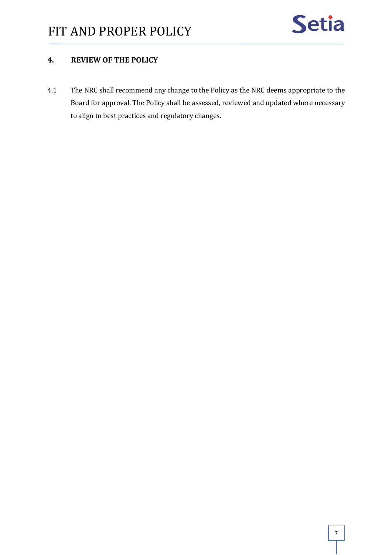

#### <span id="page-6-0"></span>**4. REVIEW OF THE POLICY**

4.1 The NRC shall recommend any change to the Policy as the NRC deems appropriate to the Board for approval. The Policy shall be assessed, reviewed and updated where necessary to align to best practices and regulatory changes.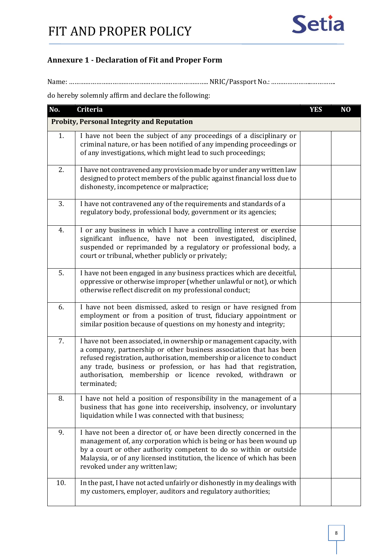#### <span id="page-7-0"></span>**Annexure 1 - Declaration of Fit and Proper Form**

Name: ………………………………………………………………….. NRIC/Passport No.:…………………..………….

do hereby solemnly affirm and declare the following:

| No. | Criteria                                                                                                                                                                                                                                                                                                                                                                | <b>YES</b> | N <sub>O</sub> |
|-----|-------------------------------------------------------------------------------------------------------------------------------------------------------------------------------------------------------------------------------------------------------------------------------------------------------------------------------------------------------------------------|------------|----------------|
|     | <b>Probity, Personal Integrity and Reputation</b>                                                                                                                                                                                                                                                                                                                       |            |                |
| 1.  | I have not been the subject of any proceedings of a disciplinary or<br>criminal nature, or has been notified of any impending proceedings or<br>of any investigations, which might lead to such proceedings;                                                                                                                                                            |            |                |
| 2.  | I have not contravened any provision made by or under any written law<br>designed to protect members of the public against financial loss due to<br>dishonesty, incompetence or malpractice;                                                                                                                                                                            |            |                |
| 3.  | I have not contravened any of the requirements and standards of a<br>regulatory body, professional body, government or its agencies;                                                                                                                                                                                                                                    |            |                |
| 4.  | I or any business in which I have a controlling interest or exercise<br>significant influence, have not been investigated, disciplined,<br>suspended or reprimanded by a regulatory or professional body, a<br>court or tribunal, whether publicly or privately;                                                                                                        |            |                |
| 5.  | I have not been engaged in any business practices which are deceitful,<br>oppressive or otherwise improper (whether unlawful or not), or which<br>otherwise reflect discredit on my professional conduct;                                                                                                                                                               |            |                |
| 6.  | I have not been dismissed, asked to resign or have resigned from<br>employment or from a position of trust, fiduciary appointment or<br>similar position because of questions on my honesty and integrity;                                                                                                                                                              |            |                |
| 7.  | I have not been associated, in ownership or management capacity, with<br>a company, partnership or other business association that has been<br>refused registration, authorisation, membership or a licence to conduct<br>any trade, business or profession, or has had that registration,<br>authorisation, membership or licence revoked, withdrawn or<br>terminated; |            |                |
| 8.  | I have not held a position of responsibility in the management of a<br>business that has gone into receivership, insolvency, or involuntary<br>liquidation while I was connected with that business;                                                                                                                                                                    |            |                |
| 9.  | I have not been a director of, or have been directly concerned in the<br>management of, any corporation which is being or has been wound up<br>by a court or other authority competent to do so within or outside<br>Malaysia, or of any licensed institution, the licence of which has been<br>revoked under any written law;                                          |            |                |
| 10. | In the past, I have not acted unfairly or dishonestly in my dealings with<br>my customers, employer, auditors and regulatory authorities;                                                                                                                                                                                                                               |            |                |